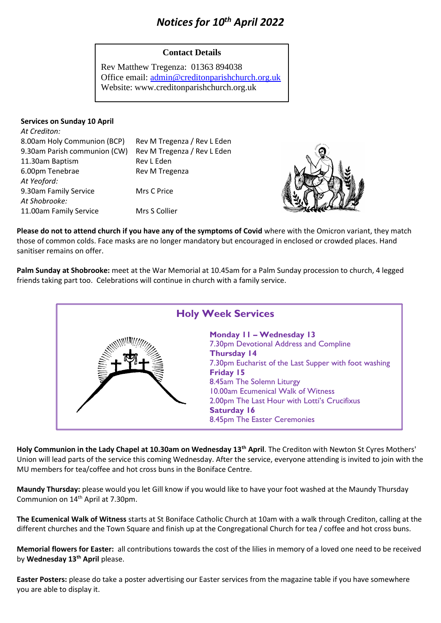# *Notices for 10th April 2022*

## **Contact Details**

Rev Matthew Tregenza: 01363 894038 Office email: [admin@creditonparishchurch.org.uk](mailto:admin@creditonparishchurch.org.uk) Website: www.creditonparishchurch.org.uk

### **Services on Sunday 10 April**

| At Crediton:                 |                             |
|------------------------------|-----------------------------|
| 8.00am Holy Communion (BCP)  | Rev M Tregenza / Rev L Eden |
| 9.30am Parish communion (CW) | Rev M Tregenza / Rev L Eden |
| 11.30am Baptism              | Rev L Eden                  |
| 6.00pm Tenebrae              | Rev M Tregenza              |
| At Yeoford:                  |                             |
| 9.30am Family Service        | Mrs C Price                 |
| At Shobrooke:                |                             |
| 11.00am Family Service       | Mrs S Collier               |
|                              |                             |



**Please do not to attend church if you have any of the symptoms of Covid** where with the Omicron variant, they match those of common colds. Face masks are no longer mandatory but encouraged in enclosed or crowded places. Hand sanitiser remains on offer.

**Palm Sunday at Shobrooke:** meet at the War Memorial at 10.45am for a Palm Sunday procession to church, 4 legged friends taking part too. Celebrations will continue in church with a family service.



**Holy Communion in the Lady Chapel at 10.30am on Wednesday 13th April**. The Crediton with Newton St Cyres Mothers' Union will lead parts of the service this coming Wednesday. After the service, everyone attending is invited to join with the MU members for tea/coffee and hot cross buns in the Boniface Centre.

**Maundy Thursday:** please would you let Gill know if you would like to have your foot washed at the Maundy Thursday Communion on 14<sup>th</sup> April at 7.30pm.

**The Ecumenical Walk of Witness** starts at St Boniface Catholic Church at 10am with a walk through Crediton, calling at the different churches and the Town Square and finish up at the Congregational Church for tea / coffee and hot cross buns.

**Memorial flowers for Easter:** all contributions towards the cost of the lilies in memory of a loved one need to be received by **Wednesday 13th April** please.

**Easter Posters:** please do take a poster advertising our Easter services from the magazine table if you have somewhere you are able to display it.